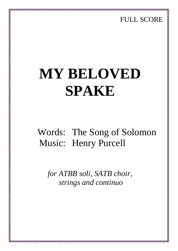## FULL SCORE

## **MY BELOVED SPAKE**

## Words: The Song of Solomon Music: Henry Purcell

*for ATBB soli, SATB choir, strings and continuo*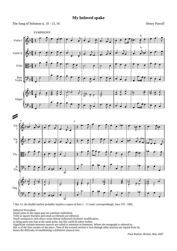## **My beloved spake**

The Song of Solomon ii, 10 - 13, 16

Henry Purcell



\* Bar 11: the double barline probably implies a repeat of bars 1 - 11 (and, correspondingly, bars 170 - 180).

*Editorial Procedure*

Small notes in the organ part are continuo realisation.

Trills in square brackets and small accidentals are editorial. Small semiquaver tails above notes denote (editorial) rhythmic modification,

to bring parts into line at the same point, but this could be taken further.

Significant variants between sources are called to attention in footnotes. Where the autograph is referred to,

this is of the first version of the piece. That of the revised version is lost (though other sources are copied from it),

hence the difficulty of establishing a definitive musical text.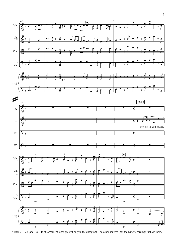

\* Bars 21 - 28 (and 190 - 197): ornament signs present only in the autograph - no other sources (nor the King recording) include them.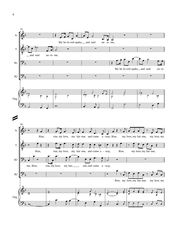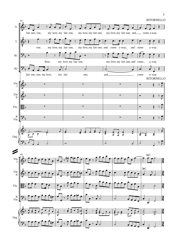*41* RITORNELLO my love, my fair one, and  $\overline{\phantom{a}}$  $\overline{a}$  $\overline{\phantom{a}}$  $\overline{\phantom{a}}$ come a-way.  $\overline{\phantom{a}}$ ₹  $\overline{\phantom{a}}$  $\overline{\phantom{a}}$  $\overline{\cdot}$  $\overline{\phantom{a}}$  $\overline{\phantom{a}}$ ≹



my love, my fair one,

 $\bullet$   $\bullet$   $\bullet$   $\bullet$ 

A.

 $41$ 

 $\overline{\mathbb{Q}}$ 

fair one, rise,

 $\sum_{i=1}^{n}$ 

my love, my fair one,

 $\frac{1}{2}$ 

 $\overline{\phantom{a}}$  $\overline{A}$ 

 $\overline{\mathbf{r}}$ 

 $\overline{\phantom{a}}$ 

 $\overline{\phantom{a}}$ 

 $\overline{\phantom{0}}$  $\overline{a}$ 

 $\overline{\mathbf{f}}$ 

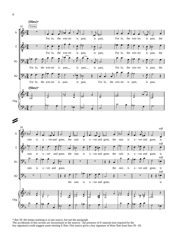

\* Bar 50: the tempo marking is in one source, but not the autograph.

The accidentals in this section are inconsistent in the sources - the presence of E naturals (not required by the

key signature) could suggest some missing E flats. One source gives a key signature of three flats from bars 50 - 82.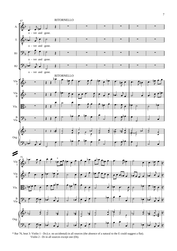

\* Bar 76, beat 3: Violin 1 - D§ (i.e. no accidental) in all sources (the absence of a natural to the E could suggest a flat). Violin 2 - Db in all sources except one (D§).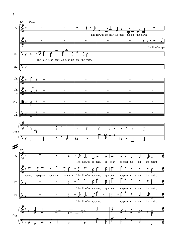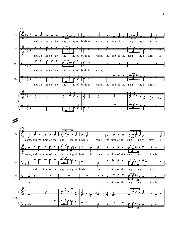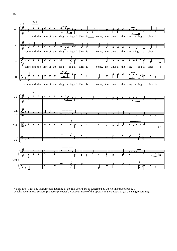

\* Bars 110 - 121: The instrumental doubling of the full choir parts is suggested by the violin parts of bar 121, which appear in two sources (manuscript copies). However, none of this appears in the autograph (or the King recording).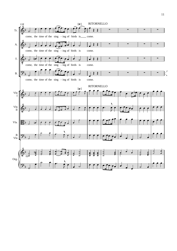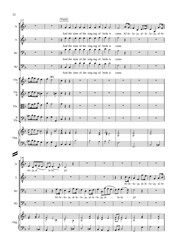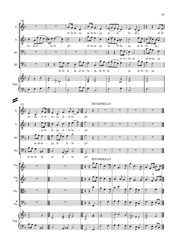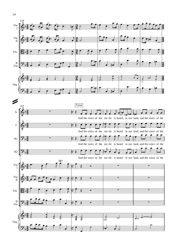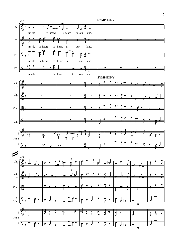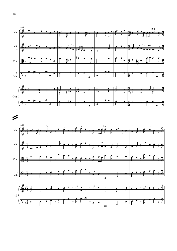



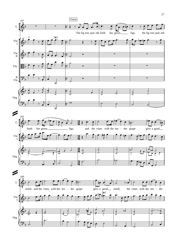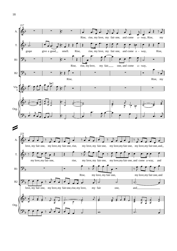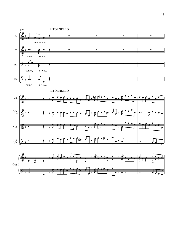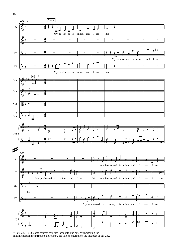

\* Bars 232 - 233: some sources truncate these into one bar, by shortening the minim chord in the strings to a crotchet, the voices entering on the last beat of bar 232.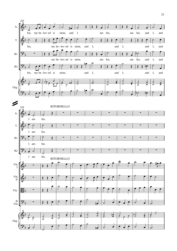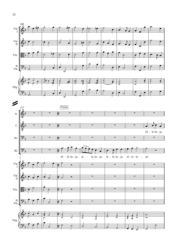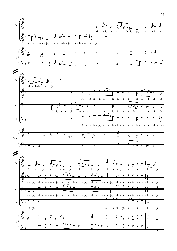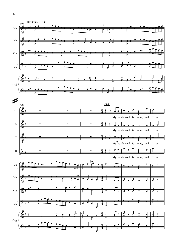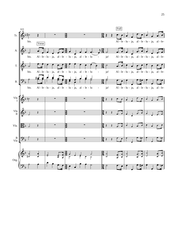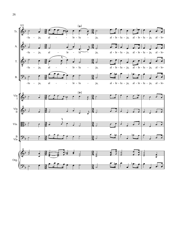